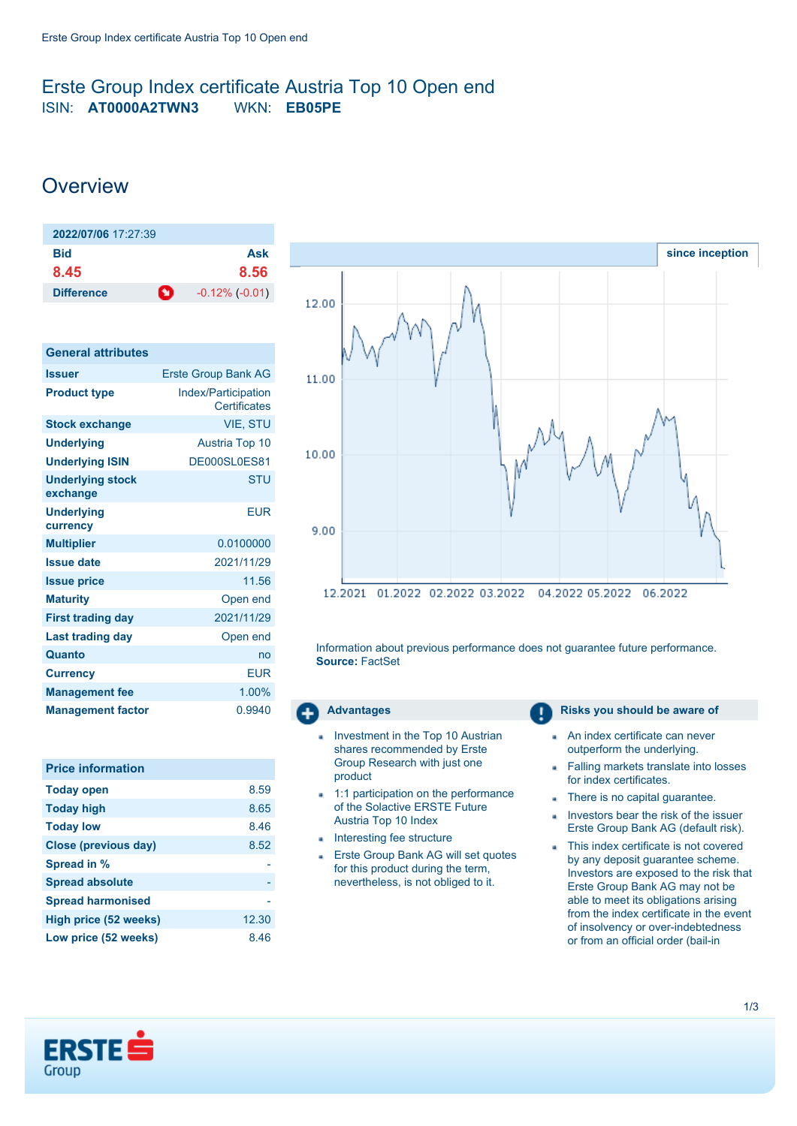## <span id="page-0-0"></span>Erste Group Index certificate Austria Top 10 Open end ISIN: **AT0000A2TWN3** WKN: **EB05PE**

# **Overview**

| 2022/07/06 17:27:39 |                           |
|---------------------|---------------------------|
| Bid                 | Ask                       |
| 8.45                | 8.56                      |
| <b>Difference</b>   | ∙о<br>$-0.12\%$ $(-0.01)$ |

| <b>General attributes</b>           |                                            |
|-------------------------------------|--------------------------------------------|
| <b>Issuer</b>                       | <b>Erste Group Bank AG</b>                 |
| <b>Product type</b>                 | <b>Index/Participation</b><br>Certificates |
| <b>Stock exchange</b>               | <b>VIE. STU</b>                            |
| <b>Underlying</b>                   | <b>Austria Top 10</b>                      |
| <b>Underlying ISIN</b>              | DE000SL0ES81                               |
| <b>Underlying stock</b><br>exchange | <b>STU</b>                                 |
| <b>Underlying</b><br>currency       | FUR                                        |
| <b>Multiplier</b>                   | 0.0100000                                  |
| <b>Issue date</b>                   | 2021/11/29                                 |
| <b>Issue price</b>                  | 11.56                                      |
| <b>Maturity</b>                     | Open end                                   |
| <b>First trading day</b>            | 2021/11/29                                 |
| <b>Last trading day</b>             | Open end                                   |
| Quanto                              | no                                         |
| <b>Currency</b>                     | <b>EUR</b>                                 |
| <b>Management fee</b>               | 1.00%                                      |
| <b>Management factor</b>            | 0.9940                                     |

| <b>Price information</b>    |       |
|-----------------------------|-------|
| <b>Today open</b>           | 8.59  |
| <b>Today high</b>           | 8.65  |
| <b>Today low</b>            | 8.46  |
| <b>Close (previous day)</b> | 8.52  |
| Spread in %                 |       |
| <b>Spread absolute</b>      |       |
| <b>Spread harmonised</b>    |       |
| High price (52 weeks)       | 12.30 |
| Low price (52 weeks)        | 8.46  |



Information about previous performance does not guarantee future performance. **Source:** FactSet

- Investment in the Top 10 Austrian shares recommended by Erste Group Research with just one product
- 1:1 participation on the performance of the Solactive ERSTE Future Austria Top 10 Index
- **Interesting fee structure**
- Erste Group Bank AG will set quotes  $\overline{a}$ for this product during the term, nevertheless, is not obliged to it.

#### **Advantages Risks you should be aware of Risks** you should be aware of

- An index certificate can never outperform the underlying.
- Falling markets translate into losses × for index certificates.
- There is no capital guarantee.
- Investors bear the risk of the issuer ä Erste Group Bank AG (default risk).
- This index certificate is not covered by any deposit guarantee scheme. Investors are exposed to the risk that Erste Group Bank AG may not be able to meet its obligations arising from the index certificate in the event of insolvency or over-indebtedness or from an official order (bail-in

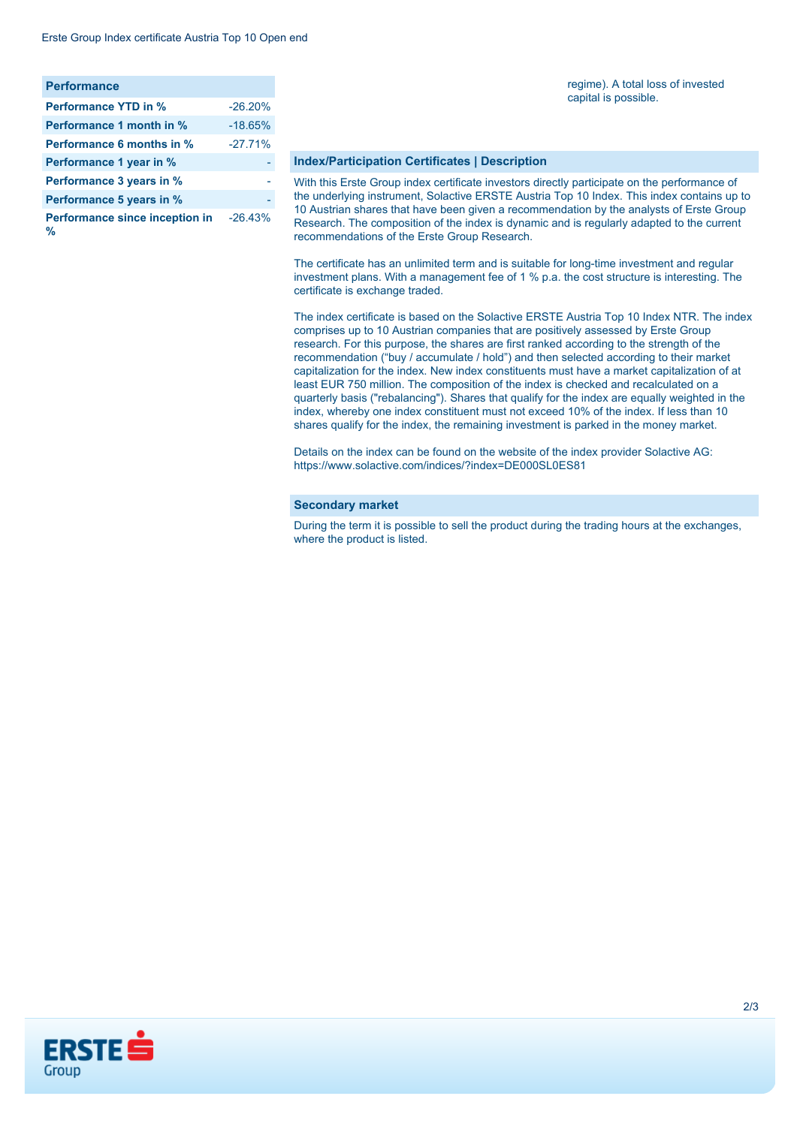| <b>Performance</b>                  |           |
|-------------------------------------|-----------|
| <b>Performance YTD in %</b>         | $-26.20%$ |
| Performance 1 month in %            | $-18.65%$ |
| Performance 6 months in %           | $-27.71%$ |
| Performance 1 year in %             |           |
| Performance 3 years in %            |           |
| Performance 5 years in %            |           |
| Performance since inception in<br>% | $-26.43%$ |

#### regime). A total loss of invested capital is possible.

#### **Index/Participation Certificates | Description**

With this Erste Group index certificate investors directly participate on the performance of the underlying instrument, Solactive ERSTE Austria Top 10 Index. This index contains up to 10 Austrian shares that have been given a recommendation by the analysts of Erste Group Research. The composition of the index is dynamic and is regularly adapted to the current recommendations of the Erste Group Research.

The certificate has an unlimited term and is suitable for long-time investment and regular investment plans. With a management fee of 1 % p.a. the cost structure is interesting. The certificate is exchange traded.

The index certificate is based on the Solactive ERSTE Austria Top 10 Index NTR. The index comprises up to 10 Austrian companies that are positively assessed by Erste Group research. For this purpose, the shares are first ranked according to the strength of the recommendation ("buy / accumulate / hold") and then selected according to their market capitalization for the index. New index constituents must have a market capitalization of at least EUR 750 million. The composition of the index is checked and recalculated on a quarterly basis ("rebalancing"). Shares that qualify for the index are equally weighted in the index, whereby one index constituent must not exceed 10% of the index. If less than 10 shares qualify for the index, the remaining investment is parked in the money market.

Details on the index can be found on the website of the index provider Solactive AG: <https://www.solactive.com/indices/?index=DE000SL0ES81>

#### **Secondary market**

During the term it is possible to sell the product during the trading hours at the exchanges, where the product is listed.